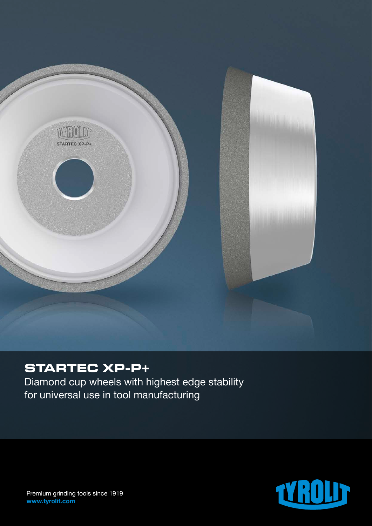

# **STARTEC XP-P+**

Diamond cup wheels with highest edge stability for universal use in tool manufacturing



Premium grinding tools since 1919 www.tyrolit.com